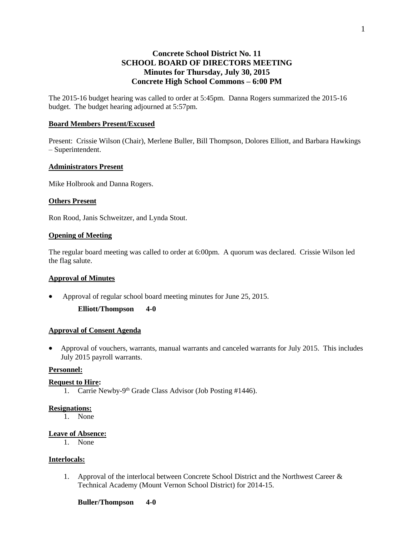# **Concrete School District No. 11 SCHOOL BOARD OF DIRECTORS MEETING Minutes for Thursday, July 30, 2015 Concrete High School Commons – 6:00 PM**

The 2015-16 budget hearing was called to order at 5:45pm. Danna Rogers summarized the 2015-16 budget. The budget hearing adjourned at 5:57pm.

### **Board Members Present/Excused**

Present: Crissie Wilson (Chair), Merlene Buller, Bill Thompson, Dolores Elliott, and Barbara Hawkings – Superintendent.

### **Administrators Present**

Mike Holbrook and Danna Rogers.

## **Others Present**

Ron Rood, Janis Schweitzer, and Lynda Stout.

### **Opening of Meeting**

The regular board meeting was called to order at 6:00pm. A quorum was declared. Crissie Wilson led the flag salute.

### **Approval of Minutes**

Approval of regular school board meeting minutes for June 25, 2015.

**Elliott/Thompson 4-0**

### **Approval of Consent Agenda**

 Approval of vouchers, warrants, manual warrants and canceled warrants for July 2015. This includes July 2015 payroll warrants.

### **Personnel:**

#### **Request to Hire:**

1. Carrie Newby-9<sup>th</sup> Grade Class Advisor (Job Posting #1446).

### **Resignations:**

1. None

### **Leave of Absence:**

1. None

### **Interlocals:**

1. Approval of the interlocal between Concrete School District and the Northwest Career & Technical Academy (Mount Vernon School District) for 2014-15.

1

#### **Buller/Thompson 4-0**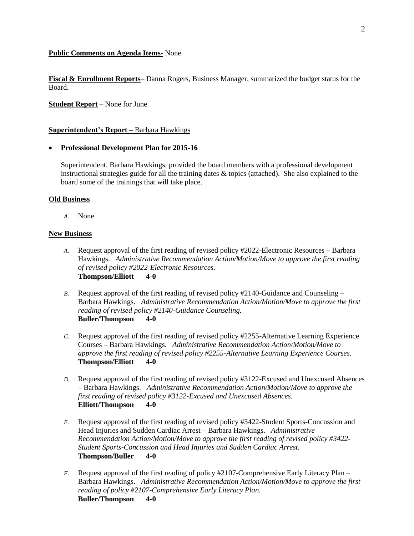### **Public Comments on Agenda Items-** None

**Fiscal & Enrollment Reports**– Danna Rogers, Business Manager, summarized the budget status for the Board.

**Student Report** – None for June

### **Superintendent's Report –** Barbara Hawkings

### **Professional Development Plan for 2015-16**

Superintendent, Barbara Hawkings, provided the board members with a professional development instructional strategies guide for all the training dates  $\&$  topics (attached). She also explained to the board some of the trainings that will take place.

### **Old Business**

*A.* None

### **New Business**

- *A.* Request approval of the first reading of revised policy #2022-Electronic Resources Barbara Hawkings. *Administrative Recommendation Action/Motion/Move to approve the first reading of revised policy #2022-Electronic Resources.* **Thompson/Elliott 4-0**
- *B.* Request approval of the first reading of revised policy #2140-Guidance and Counseling Barbara Hawkings. *Administrative Recommendation Action/Motion/Move to approve the first reading of revised policy #2140-Guidance Counseling.* **Buller/Thompson 4-0**
- *C.* Request approval of the first reading of revised policy #2255-Alternative Learning Experience Courses – Barbara Hawkings. *Administrative Recommendation Action/Motion/Move to approve the first reading of revised policy #2255-Alternative Learning Experience Courses.* **Thompson/Elliott 4-0**
- *D.* Request approval of the first reading of revised policy #3122-Excused and Unexcused Absences – Barbara Hawkings. *Administrative Recommendation Action/Motion/Move to approve the first reading of revised policy #3122-Excused and Unexcused Absences.*  **Elliott/Thompson 4-0**
- *E.* Request approval of the first reading of revised policy #3422-Student Sports-Concussion and Head Injuries and Sudden Cardiac Arrest – Barbara Hawkings. *Administrative Recommendation Action/Motion/Move to approve the first reading of revised policy #3422- Student Sports-Concussion and Head Injuries and Sudden Cardiac Arrest.*  **Thompson/Buller 4-0**
- *F.* Request approval of the first reading of policy #2107-Comprehensive Early Literacy Plan Barbara Hawkings. *Administrative Recommendation Action/Motion/Move to approve the first reading of policy #2107-Comprehensive Early Literacy Plan.*  **Buller/Thompson 4-0**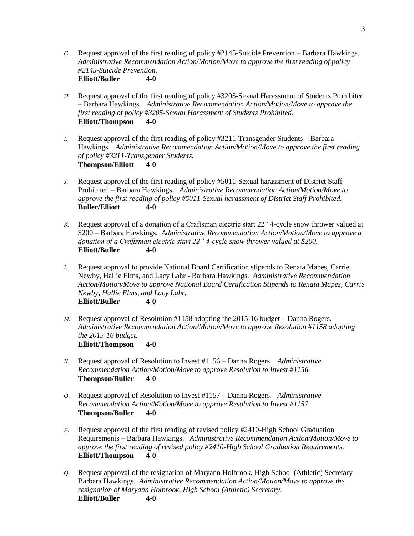- *G.* Request approval of the first reading of policy #2145-Suicide Prevention Barbara Hawkings. *Administrative Recommendation Action/Motion/Move to approve the first reading of policy #2145-Suicide Prevention.*  **Elliott/Buller 4-0**
- *H.* Request approval of the first reading of policy #3205-Sexual Harassment of Students Prohibited – Barbara Hawkings. *Administrative Recommendation Action/Motion/Move to approve the first reading of policy #3205-Sexual Harassment of Students Prohibited.*  **Elliott/Thompson 4-0**
- *I.* Request approval of the first reading of policy #3211-Transgender Students Barbara Hawkings. *Administrative Recommendation Action/Motion/Move to approve the first reading of policy #3211-Transgender Students.*  **Thompson/Elliott 4-0**
- *J.* Request approval of the first reading of policy #5011-Sexual harassment of District Staff Prohibited – Barbara Hawkings. *Administrative Recommendation Action/Motion/Move to approve the first reading of policy #5011-Sexual harassment of District Staff Prohibited.*  **Buller/Elliott 4-0**
- *K.* Request approval of a donation of a Craftsman electric start 22" 4-cycle snow thrower valued at \$200 – Barbara Hawkings. *Administrative Recommendation Action/Motion/Move to approve a donation of a Craftsman electric start 22" 4-cycle snow thrower valued at \$200.*  **Elliott/Buller 4-0**
- *L.* Request approval to provide National Board Certification stipends to Renata Mapes, Carrie Newby, Hallie Elms, and Lacy Lahr - Barbara Hawkings. *Administrative Recommendation Action/Motion/Move to approve National Board Certification Stipends to Renata Mapes, Carrie Newby, Hallie Elms, and Lacy Lahr.*  **Elliott/Buller 4-0**
- *M.* Request approval of Resolution #1158 adopting the 2015-16 budget Danna Rogers. *Administrative Recommendation Action/Motion/Move to approve Resolution* #*1158 adopting the 2015-16 budget.*  **Elliott/Thompson 4-0**
- *N.* Request approval of Resolution to Invest #1156 Danna Rogers. *Administrative Recommendation Action/Motion/Move to approve Resolution to Invest #1156.*  **Thompson/Buller 4-0**
- *O.* Request approval of Resolution to Invest #1157 Danna Rogers. *Administrative Recommendation Action/Motion/Move to approve Resolution to Invest #1157.*  **Thompson/Buller 4-0**
- *P.* Request approval of the first reading of revised policy #2410-High School Graduation Requirements – Barbara Hawkings. *Administrative Recommendation Action/Motion/Move to approve the first reading of revised policy #2410-High School Graduation Requirements.*  **Elliott/Thompson 4-0**
- *Q.* Request approval of the resignation of Maryann Holbrook, High School (Athletic) Secretary Barbara Hawkings. *Administrative Recommendation Action/Motion/Move to approve the resignation of Maryann Holbrook, High School (Athletic) Secretary.*  **Elliott/Buller 4-0**